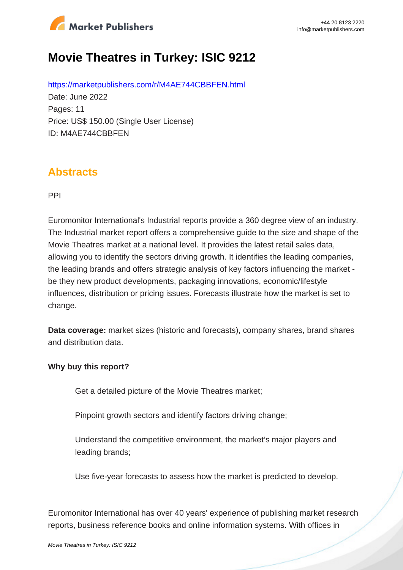

# **Movie Theatres in Turkey: ISIC 9212**

https://marketpublishers.com/r/M4AE744CBBFEN.html Date: June 2022 Pages: 11 Price: US\$ 150.00 (Single User License) ID: M4AE744CBBFEN

### **Abstracts**

PPI

Euromonitor International's Industrial reports provide a 360 degree view of an industry. The Industrial market report offers a comprehensive guide to the size and shape of the Movie Theatres market at a national level. It provides the latest retail sales data, allowing you to identify the sectors driving growth. It identifies the leading companies, the leading brands and offers strategic analysis of key factors influencing the market be they new product developments, packaging innovations, economic/lifestyle influences, distribution or pricing issues. Forecasts illustrate how the market is set to change.

**Data coverage:** market sizes (historic and forecasts), company shares, brand shares and distribution data.

#### **Why buy this report?**

Get a detailed picture of the Movie Theatres market;

Pinpoint growth sectors and identify factors driving change;

Understand the competitive environment, the market's major players and leading brands;

Use five-year forecasts to assess how the market is predicted to develop.

Euromonitor International has over 40 years' experience of publishing market research reports, business reference books and online information systems. With offices in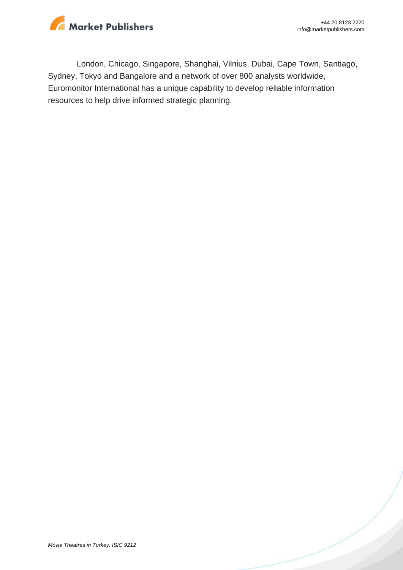

London, Chicago, Singapore, Shanghai, Vilnius, Dubai, Cape Town, Santiago, Sydney, Tokyo and Bangalore and a network of over 800 analysts worldwide, Euromonitor International has a unique capability to develop reliable information resources to help drive informed strategic planning.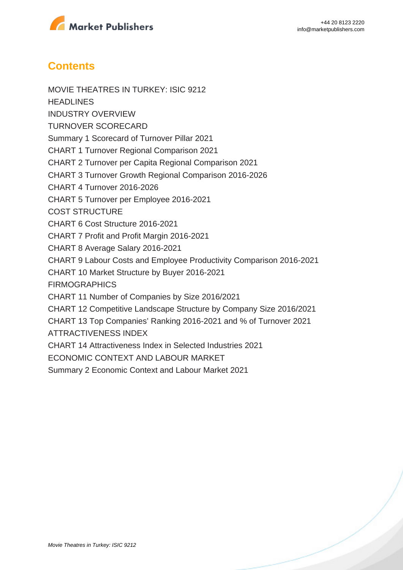

## **Contents**

MOVIE THEATRES IN TURKEY: ISIC 9212 **HEADLINES** INDUSTRY OVERVIEW TURNOVER SCORECARD Summary 1 Scorecard of Turnover Pillar 2021 CHART 1 Turnover Regional Comparison 2021 CHART 2 Turnover per Capita Regional Comparison 2021 CHART 3 Turnover Growth Regional Comparison 2016-2026 CHART 4 Turnover 2016-2026 CHART 5 Turnover per Employee 2016-2021 COST STRUCTURE CHART 6 Cost Structure 2016-2021 CHART 7 Profit and Profit Margin 2016-2021 CHART 8 Average Salary 2016-2021 CHART 9 Labour Costs and Employee Productivity Comparison 2016-2021 CHART 10 Market Structure by Buyer 2016-2021 FIRMOGRAPHICS CHART 11 Number of Companies by Size 2016/2021 CHART 12 Competitive Landscape Structure by Company Size 2016/2021 CHART 13 Top Companies' Ranking 2016-2021 and % of Turnover 2021 ATTRACTIVENESS INDEX CHART 14 Attractiveness Index in Selected Industries 2021 ECONOMIC CONTEXT AND LABOUR MARKET Summary 2 Economic Context and Labour Market 2021